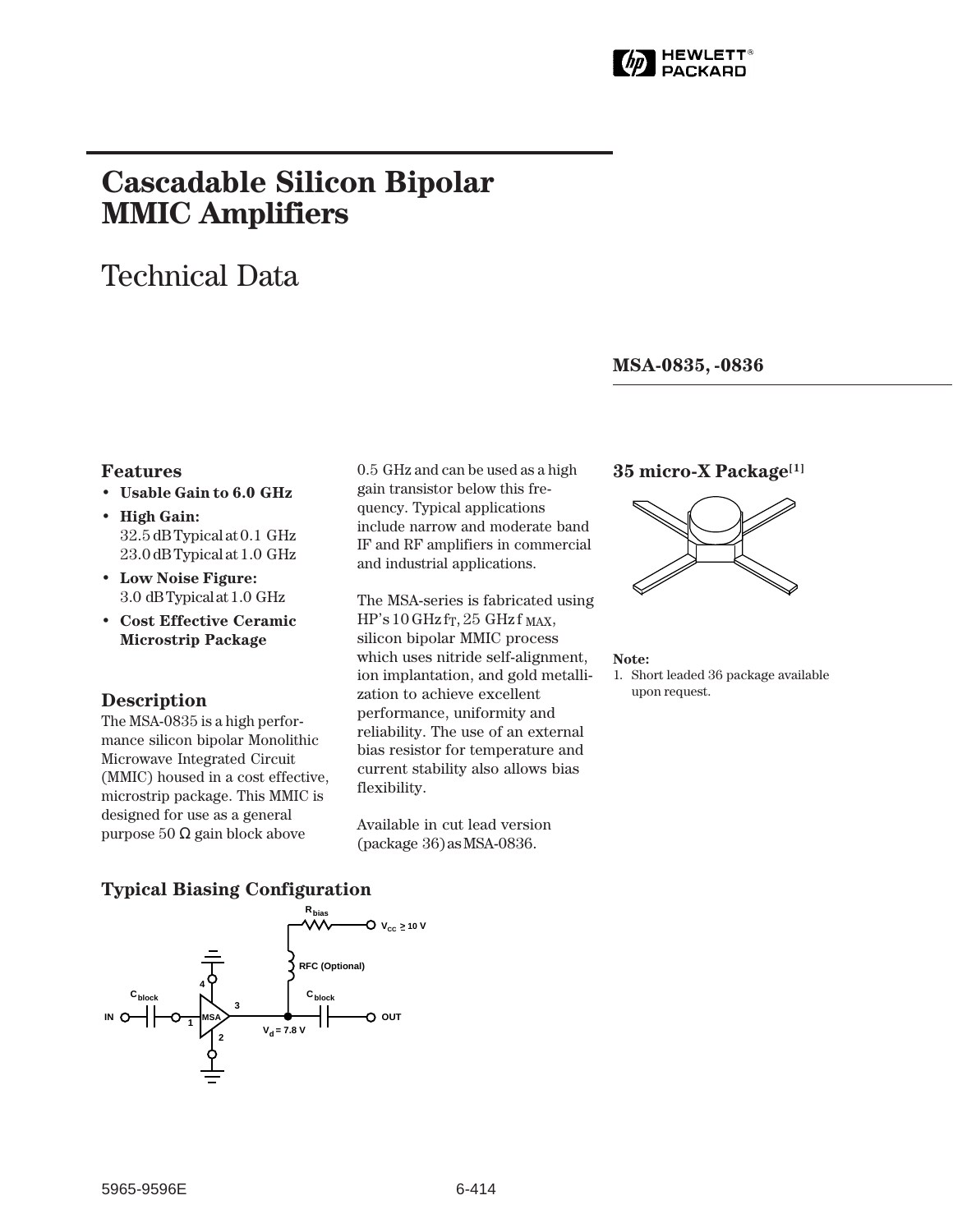

# **Cascadable Silicon Bipolar MMIC␣ Amplifiers**

# Technical Data

# **MSA-0835, -0836**

# **Features**

- **Usable Gain to 6.0␣ GHz**
- **High Gain:** 32.5 dB Typical at 0.1␣ GHz 23.0 dB Typical at 1.0 GHz
- **Low Noise Figure:** 3.0␣ dB Typical at 1.0␣ GHz
- **Cost Effective Ceramic Microstrip Package**

### **Description**

The MSA-0835 is a high performance silicon bipolar Monolithic Microwave Integrated Circuit (MMIC) housed in a cost effective, microstrip package. This MMIC is designed for use as a general purpose 50 Ω gain block above

0.5␣ GHz and can be used as a high gain transistor below this frequency. Typical applications include narrow and moderate band IF and RF amplifiers in commercial and industrial applications.

The MSA-series is fabricated using  $HP's 10 GHz$  fr, 25 GHz f MAX, silicon bipolar MMIC process which uses nitride self-alignment, ion implantation, and gold metallization to achieve excellent performance, uniformity and reliability. The use of an external bias resistor for temperature and current stability also allows bias flexibility.

Available in cut lead version (package␣ 36) as MSA-0836.

# **35 micro-X Package[1]**



#### **Note:**

1. Short leaded 36 package available upon request.

# **Typical Biasing Configuration**

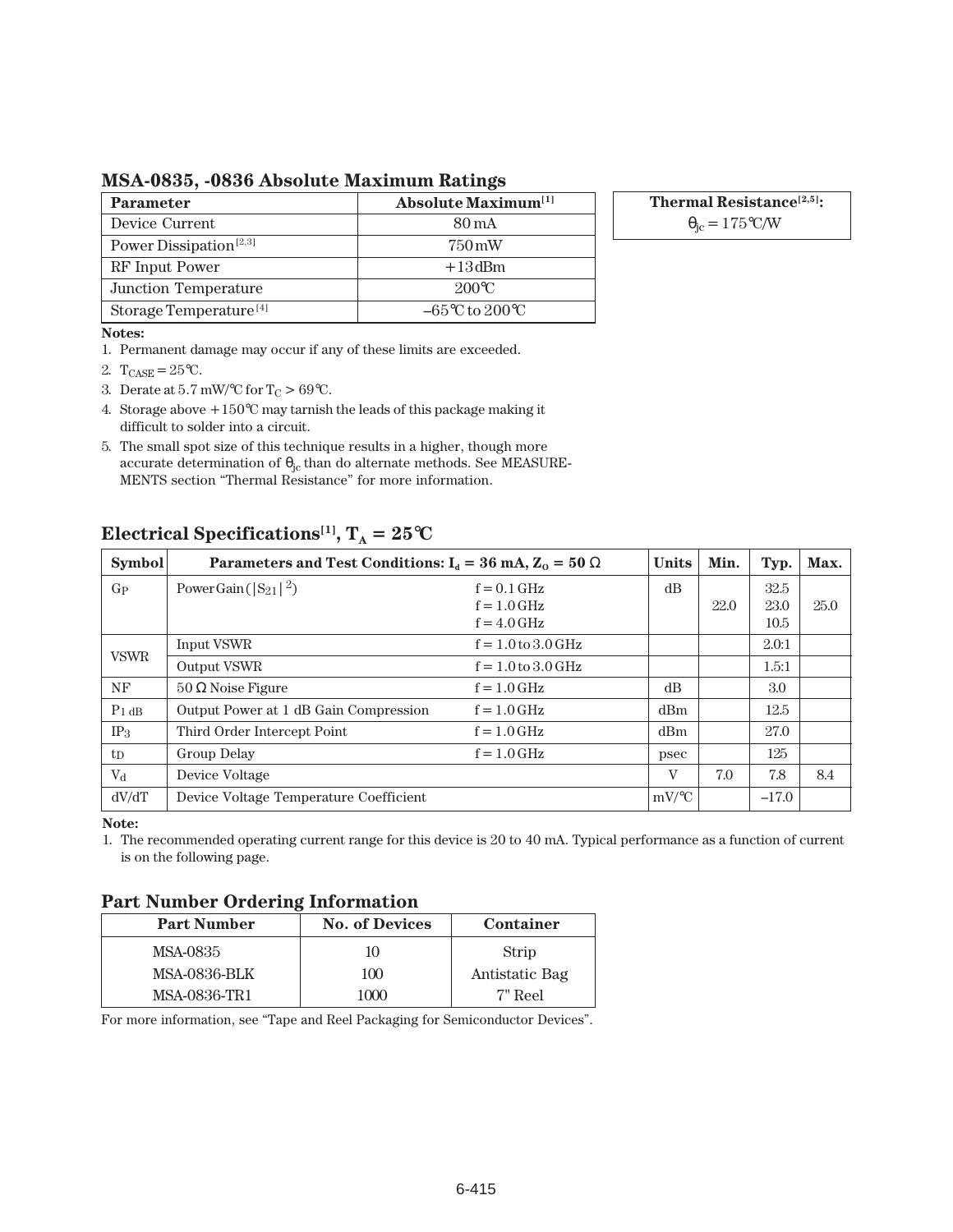**MSA-0835, -0836 Absolute Maximum Ratings**

| <b>Parameter</b>                   | Absolute Maximum <sup>[1]</sup>     |  |
|------------------------------------|-------------------------------------|--|
| Device Current                     | 80 mA                               |  |
| Power Dissipation <sup>[2,3]</sup> | 750 mW                              |  |
| RF Input Power                     | $+13$ dBm                           |  |
| Junction Temperature               | $200^{\circ}$ C                     |  |
| Storage Temperature <sup>[4]</sup> | $-65^{\circ}$ C to 200 $^{\circ}$ C |  |

**Thermal Resistance[2,5]:**

 $\theta_{\rm jc} = 175$ °C/W

#### **Notes:**

1. Permanent damage may occur if any of these limits are exceeded.

- 2.  $T_{CASE} = 25$ °C.
- 3. Derate at 5.7 mW/°C for  $T_C > 69$ °C.
- 4. Storage above +150°C may tarnish the leads of this package making it difficult to solder into a circuit.
- 5. The small spot size of this technique results in a higher, though more accurate determination of  $\theta_{jc}$  than do alternate methods. See MEASURE-MENTS section "Thermal Resistance" for more information.

# **Electrical Specifications<sup>[1]</sup>,**  $T_A = 25^{\circ}C$

| <b>Symbol</b>   | Parameters and Test Conditions: $I_d = 36 \text{ mA}, Z_0 = 50 \Omega$ |                        | <b>Units</b> | Min. | Typ.    | Max. |
|-----------------|------------------------------------------------------------------------|------------------------|--------------|------|---------|------|
| $G_{P}$         | Power Gain ( $ S_{21} ^2$ )                                            | $f = 0.1$ GHz          | dB           |      | 32.5    |      |
|                 |                                                                        | $f = 1.0$ GHz          |              | 22.0 | 23.0    | 25.0 |
|                 |                                                                        | $f = 4.0$ GHz          |              |      | 10.5    |      |
| <b>VSWR</b>     | Input VSWR                                                             | $f = 1.0$ to $3.0$ GHz |              |      | 2.0:1   |      |
|                 | Output VSWR                                                            | $f = 1.0$ to $3.0$ GHz |              |      | 1.5:1   |      |
| NF              | $50 \Omega$ Noise Figure                                               | $f = 1.0$ GHz          | dB           |      | 3.0     |      |
| $P_1$ dB        | Output Power at 1 dB Gain Compression                                  | $f = 1.0$ GHz          | dBm          |      | 12.5    |      |
| IP <sub>3</sub> | Third Order Intercept Point                                            | $f = 1.0$ GHz          | dBm          |      | 27.0    |      |
| $t_{\rm D}$     | Group Delay                                                            | $f = 1.0$ GHz          | psec         |      | 125     |      |
| $V_{d}$         | Device Voltage                                                         |                        | V            | 7.0  | 7.8     | 8.4  |
| dV/dT           | Device Voltage Temperature Coefficient                                 |                        | $mV$ /°C     |      | $-17.0$ |      |

**Note:**

1. The recommended operating current range for this device is 20 to 40 mA. Typical performance as a function of current is on the following page.

# **Part Number Ordering Information**

| <b>Part Number</b>  | <b>No. of Devices</b> | <b>Container</b> |
|---------------------|-----------------------|------------------|
| MSA-0835            | 10                    | Strip            |
| <b>MSA-0836-BLK</b> | 100                   | Antistatic Bag   |
| MSA-0836-TR1        | 1000                  | 7" Reel          |

For more information, see "Tape and Reel Packaging for Semiconductor Devices".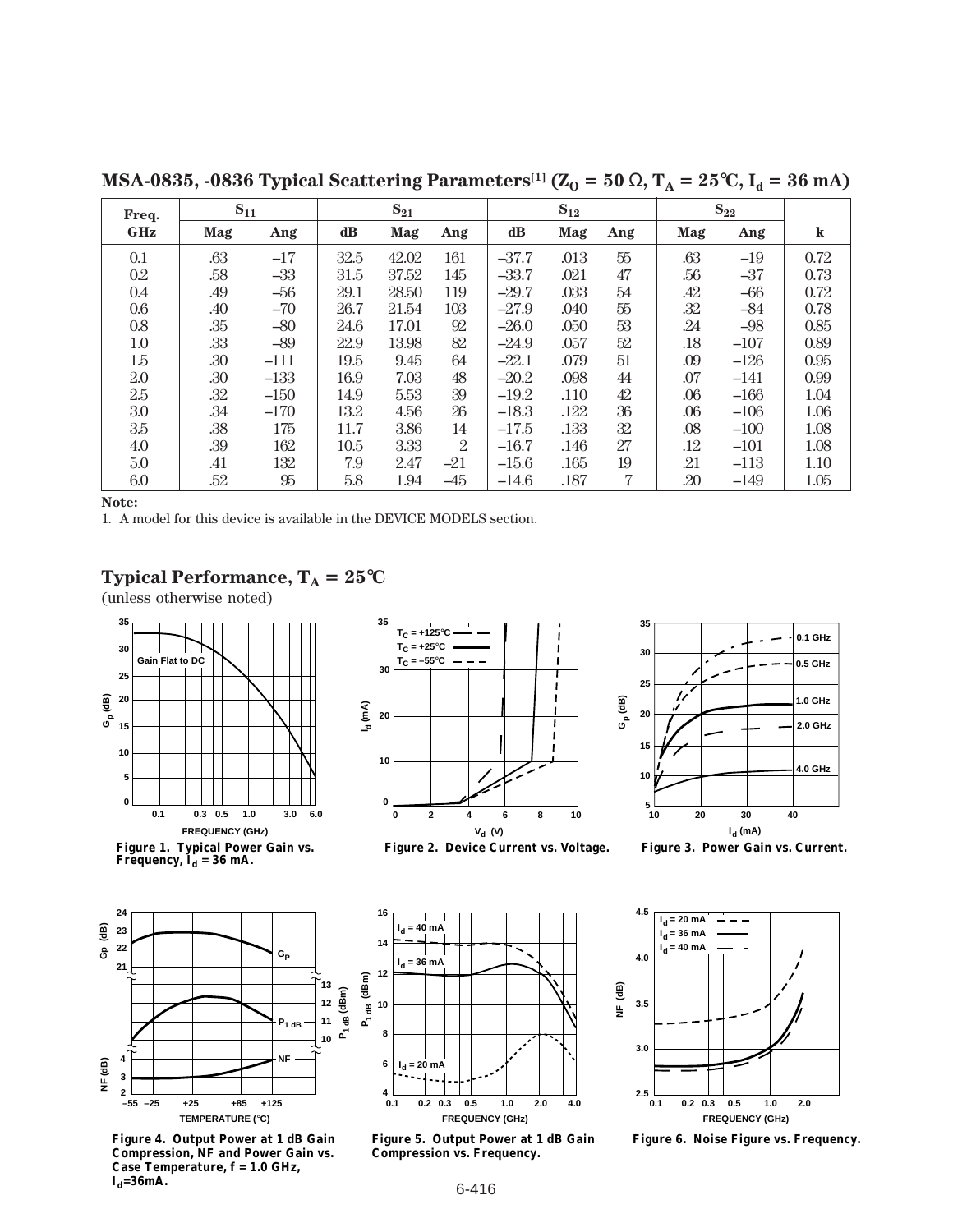**Freq. GHz Mag Ang dB Mag Ang dB Mag Ang Mag Ang k** 0.1 .63 –17 32.5 42.02 161  $-37.7$  .013 55 .63 –19 0.72 0.2 .58 –33 31.5 37.52 145  $-33.7$  .021 47 .56 –37 0.73 0.4 .49 –56 29.1 28.50 119 –29.7 .033 54 .42 –66 0.72 0.6 .40 –70 26.7 21.54 103  $-27.9$  .040 55 .32 –84 0.78 0.8 .35 –80 24.6 17.01 92 -26.0 .050 53 .24 –98 0.85 1.0 .33 –89 22.9 13.98 82 –24.9 .057 52 .18 –107 0.89 1.5 .30 –111 | 19.5 9.45 64 | –22.1 .079 51 | .09 –126 | 0.95 2.0 .30 –133 16.9 7.03 48 –20.2 .098 44 .07 –141 0.99 2.5 .32 –150 14.9 5.53 39 –19.2 .110 42 .06 –166 1.04  $3.0 \t3.34 \t-170 \t13.2 \t4.56 \t26 \t-18.3 \t.122 \t36 \t.06 \t-106 \t1.06$  $3.5$   $3.8$   $175$   $11.7$   $3.86$   $14$   $-17.5$   $133$   $32$   $32$   $0.08$   $-100$   $1.08$ 4.0 .39 162 10.5 3.33 2 –16.7 .146 27 .12 –101 1.08  $S_{11}$   $S_{21}$   $S_{12}$   $S_{12}$ 

5.0 .41 132 7.9 2.47 -21  $-15.6$  .165 19 .21 -113 1.10 6.0 .52 95 5.8 1.94 -45  $-14.6$  .187 7 20 -149 1.05

**MSA-0835, -0836 Typical Scattering Parameters**<sup>[1]</sup>  $(Z_0 = 50 \Omega, T_A = 25^{\circ}C, I_d = 36 \text{ mA})$ 

**Note:**

1. A model for this device is available in the DEVICE MODELS section.

# **Typical Performance,**  $T_A = 25^{\circ}C$

(unless otherwise noted)



Figure 1. Typical Power Gain vs.<br>Frequency, I<sub>d</sub> = 36 mA.



**Figure 4. Output Power at 1 dB Gain Compression, NF and Power Gain vs. Case Temperature, f = 1.0 GHz,**   $I_d = 36$ mA.



**Figure 2. Device Current vs. Voltage. Figure 3. Power Gain vs. Current.**





**Figure 5. Output Power at 1 dB Gain Compression vs. Frequency.**



**Figure 6. Noise Figure vs. Frequency.**